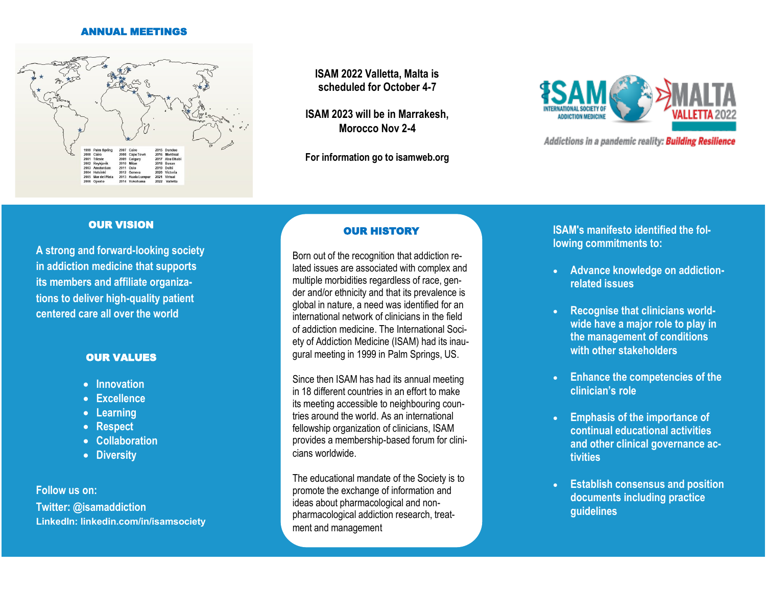#### ANNUAL MEETINGS



**ISAM 2022 Valletta, Malta is scheduled for October 4-7**

**ISAM 2023 will be in Marrakesh, Morocco Nov 2-4**

**For information go to isamweb.org**



Addictions in a pandemic reality: Building Resilience

#### OUR VISION

**A strong and forward-looking society in addiction medicine that supports its members and affiliate organizations to deliver high-quality patient centered care all over the world**

#### OUR VALUES

- **Innovation**
- **Excellence**
- **Learning**
- **Respect**
- **Collaboration**
- **Diversity**

**Follow us on: Twitter: @isamaddiction LinkedIn: linkedin.com/in/isamsociety**

## OUR HISTORY

Born out of the recognition that addiction related issues are associated with complex and multiple morbidities regardless of race, gender and/or ethnicity and that its prevalence is global in nature, a need was identified for an international network of clinicians in the field of addiction medicine. The International Society of Addiction Medicine (ISAM) had its inaugural meeting in 1999 in Palm Springs, US.

Since then ISAM has had its annual meeting in 18 different countries in an effort to make its meeting accessible to neighbouring countries around the world. As an international fellowship organization of clinicians, ISAM provides a membership-based forum for clinicians worldwide.

pharmacological addiction research, treat-The educational mandate of the Society is to promote the exchange of information and ideas about pharmacological and nonment and management

**ISAM's manifesto identified the following commitments to:**

- **Advance knowledge on addictionrelated issues**
- **Recognise that clinicians worldwide have a major role to play in the management of conditions with other stakeholders**
- **Enhance the competencies of the clinician's role**
- **Emphasis of the importance of continual educational activities and other clinical governance activities**
- **Establish consensus and position documents including practice guidelines**